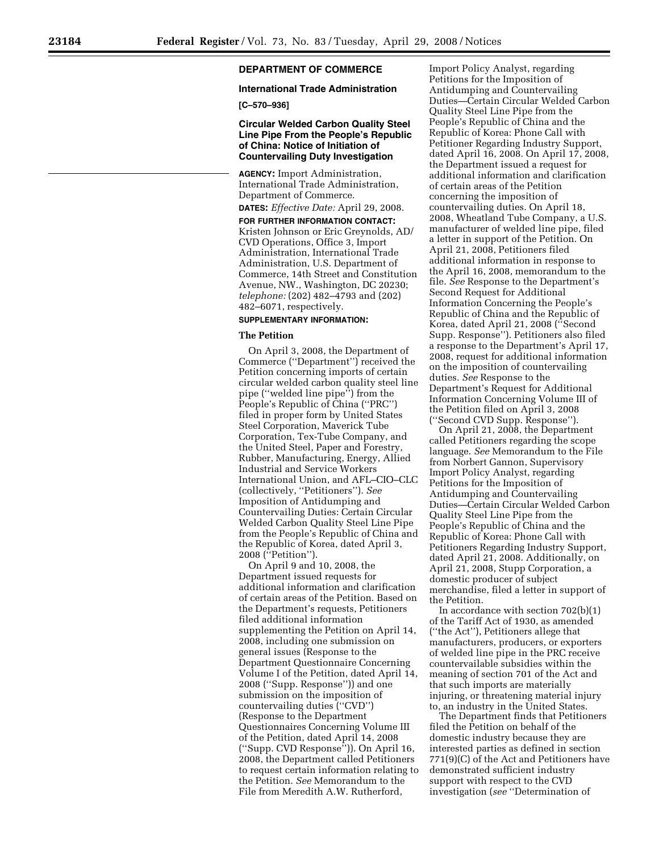# **DEPARTMENT OF COMMERCE**

## **International Trade Administration**

**[C–570–936]** 

## **Circular Welded Carbon Quality Steel Line Pipe From the People's Republic of China: Notice of Initiation of Countervailing Duty Investigation**

**AGENCY:** Import Administration, International Trade Administration, Department of Commerce.

**DATES:** *Effective Date:* April 29, 2008. **FOR FURTHER INFORMATION CONTACT:**  Kristen Johnson or Eric Greynolds, AD/ CVD Operations, Office 3, Import Administration, International Trade Administration, U.S. Department of Commerce, 14th Street and Constitution Avenue, NW., Washington, DC 20230; *telephone:* (202) 482–4793 and (202) 482–6071, respectively.

## **SUPPLEMENTARY INFORMATION:**

# **The Petition**

On April 3, 2008, the Department of Commerce (''Department'') received the Petition concerning imports of certain circular welded carbon quality steel line pipe (''welded line pipe'') from the People's Republic of China (''PRC'') filed in proper form by United States Steel Corporation, Maverick Tube Corporation, Tex-Tube Company, and the United Steel, Paper and Forestry, Rubber, Manufacturing, Energy, Allied Industrial and Service Workers International Union, and AFL–CIO–CLC (collectively, ''Petitioners''). *See*  Imposition of Antidumping and Countervailing Duties: Certain Circular Welded Carbon Quality Steel Line Pipe from the People's Republic of China and the Republic of Korea, dated April 3, 2008 (''Petition'').

On April 9 and 10, 2008, the Department issued requests for additional information and clarification of certain areas of the Petition. Based on the Department's requests, Petitioners filed additional information supplementing the Petition on April 14, 2008, including one submission on general issues (Response to the Department Questionnaire Concerning Volume I of the Petition, dated April 14, 2008 (''Supp. Response'')) and one submission on the imposition of countervailing duties (''CVD'') (Response to the Department Questionnaires Concerning Volume III of the Petition, dated April 14, 2008 (''Supp. CVD Response'')). On April 16, 2008, the Department called Petitioners to request certain information relating to the Petition. *See* Memorandum to the File from Meredith A.W. Rutherford,

Import Policy Analyst, regarding Petitions for the Imposition of Antidumping and Countervailing Duties—Certain Circular Welded Carbon Quality Steel Line Pipe from the People's Republic of China and the Republic of Korea: Phone Call with Petitioner Regarding Industry Support, dated April 16, 2008. On April 17, 2008, the Department issued a request for additional information and clarification of certain areas of the Petition concerning the imposition of countervailing duties. On April 18, 2008, Wheatland Tube Company, a U.S. manufacturer of welded line pipe, filed a letter in support of the Petition. On April 21, 2008, Petitioners filed additional information in response to the April 16, 2008, memorandum to the file. *See* Response to the Department's Second Request for Additional Information Concerning the People's Republic of China and the Republic of Korea, dated April 21, 2008 (''Second Supp. Response''). Petitioners also filed a response to the Department's April 17, 2008, request for additional information on the imposition of countervailing duties. *See* Response to the Department's Request for Additional Information Concerning Volume III of the Petition filed on April 3, 2008 (''Second CVD Supp. Response'').

On April 21, 2008, the Department called Petitioners regarding the scope language. *See* Memorandum to the File from Norbert Gannon, Supervisory Import Policy Analyst, regarding Petitions for the Imposition of Antidumping and Countervailing Duties—Certain Circular Welded Carbon Quality Steel Line Pipe from the People's Republic of China and the Republic of Korea: Phone Call with Petitioners Regarding Industry Support, dated April 21, 2008. Additionally, on April 21, 2008, Stupp Corporation, a domestic producer of subject merchandise, filed a letter in support of the Petition.

In accordance with section 702(b)(1) of the Tariff Act of 1930, as amended (''the Act''), Petitioners allege that manufacturers, producers, or exporters of welded line pipe in the PRC receive countervailable subsidies within the meaning of section 701 of the Act and that such imports are materially injuring, or threatening material injury to, an industry in the United States.

The Department finds that Petitioners filed the Petition on behalf of the domestic industry because they are interested parties as defined in section 771(9)(C) of the Act and Petitioners have demonstrated sufficient industry support with respect to the CVD investigation (*see* ''Determination of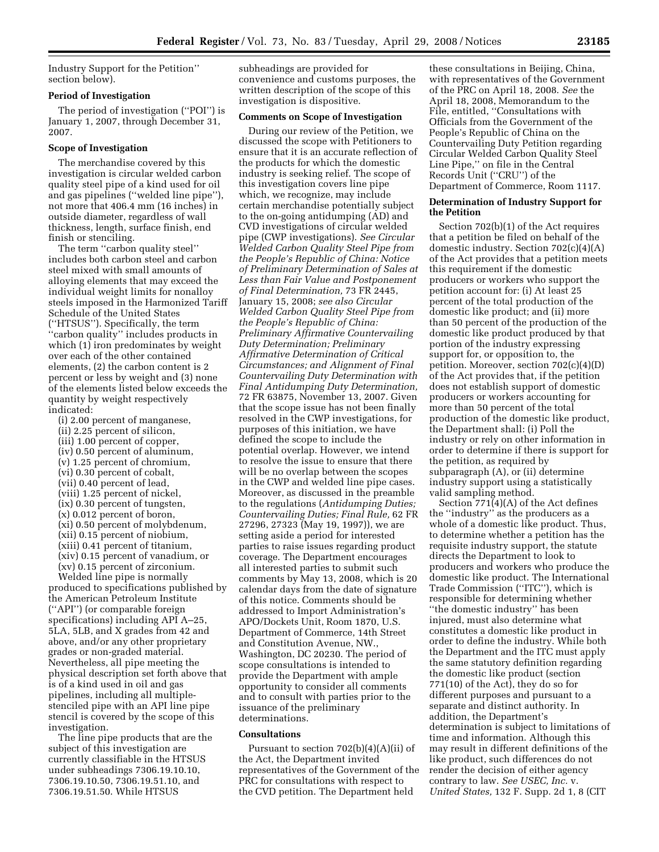Industry Support for the Petition'' section below).

## **Period of Investigation**

The period of investigation (''POI'') is January 1, 2007, through December 31, 2007.

### **Scope of Investigation**

The merchandise covered by this investigation is circular welded carbon quality steel pipe of a kind used for oil and gas pipelines (''welded line pipe''), not more that 406.4 mm (16 inches) in outside diameter, regardless of wall thickness, length, surface finish, end finish or stenciling.

The term "carbon quality steel" includes both carbon steel and carbon steel mixed with small amounts of alloying elements that may exceed the individual weight limits for nonalloy steels imposed in the Harmonized Tariff Schedule of the United States (''HTSUS''). Specifically, the term ''carbon quality'' includes products in which (1) iron predominates by weight over each of the other contained elements, (2) the carbon content is 2 percent or less by weight and (3) none of the elements listed below exceeds the quantity by weight respectively indicated:

(i) 2.00 percent of manganese, (ii) 2.25 percent of silicon, (iii) 1.00 percent of copper, (iv) 0.50 percent of aluminum, (v) 1.25 percent of chromium, (vi) 0.30 percent of cobalt, (vii) 0.40 percent of lead, (viii) 1.25 percent of nickel, (ix) 0.30 percent of tungsten, (x) 0.012 percent of boron, (xi) 0.50 percent of molybdenum, (xii) 0.15 percent of niobium, (xiii) 0.41 percent of titanium, (xiv) 0.15 percent of vanadium, or (xv) 0.15 percent of zirconium.

Welded line pipe is normally produced to specifications published by the American Petroleum Institute (''API'') (or comparable foreign specifications) including API A–25, 5LA, 5LB, and X grades from 42 and above, and/or any other proprietary grades or non-graded material. Nevertheless, all pipe meeting the physical description set forth above that is of a kind used in oil and gas pipelines, including all multiplestenciled pipe with an API line pipe stencil is covered by the scope of this investigation.

The line pipe products that are the subject of this investigation are currently classifiable in the HTSUS under subheadings 7306.19.10.10, 7306.19.10.50, 7306.19.51.10, and 7306.19.51.50. While HTSUS

subheadings are provided for convenience and customs purposes, the written description of the scope of this investigation is dispositive.

### **Comments on Scope of Investigation**

During our review of the Petition, we discussed the scope with Petitioners to ensure that it is an accurate reflection of the products for which the domestic industry is seeking relief. The scope of this investigation covers line pipe which, we recognize, may include certain merchandise potentially subject to the on-going antidumping (AD) and CVD investigations of circular welded pipe (CWP investigations). *See Circular Welded Carbon Quality Steel Pipe from the People's Republic of China: Notice of Preliminary Determination of Sales at Less than Fair Value and Postponement of Final Determination,* 73 FR 2445, January 15, 2008; *see also Circular Welded Carbon Quality Steel Pipe from the People's Republic of China: Preliminary Affirmative Countervailing Duty Determination; Preliminary Affirmative Determination of Critical Circumstances; and Alignment of Final Countervailing Duty Determination with Final Antidumping Duty Determination,*  72 FR 63875, November 13, 2007. Given that the scope issue has not been finally resolved in the CWP investigations, for purposes of this initiation, we have defined the scope to include the potential overlap. However, we intend to resolve the issue to ensure that there will be no overlap between the scopes in the CWP and welded line pipe cases. Moreover, as discussed in the preamble to the regulations (*Antidumping Duties; Countervailing Duties; Final Rule,* 62 FR 27296, 27323 (May 19, 1997)), we are setting aside a period for interested parties to raise issues regarding product coverage. The Department encourages all interested parties to submit such comments by May 13, 2008, which is 20 calendar days from the date of signature of this notice. Comments should be addressed to Import Administration's APO/Dockets Unit, Room 1870, U.S. Department of Commerce, 14th Street and Constitution Avenue, NW., Washington, DC 20230. The period of scope consultations is intended to provide the Department with ample opportunity to consider all comments and to consult with parties prior to the issuance of the preliminary determinations.

### **Consultations**

Pursuant to section 702(b)(4)(A)(ii) of the Act, the Department invited representatives of the Government of the PRC for consultations with respect to the CVD petition. The Department held

these consultations in Beijing, China, with representatives of the Government of the PRC on April 18, 2008. *See* the April 18, 2008, Memorandum to the File, entitled, ''Consultations with Officials from the Government of the People's Republic of China on the Countervailing Duty Petition regarding Circular Welded Carbon Quality Steel Line Pipe,'' on file in the Central Records Unit (''CRU'') of the Department of Commerce, Room 1117.

### **Determination of Industry Support for the Petition**

Section 702(b)(1) of the Act requires that a petition be filed on behalf of the domestic industry. Section 702(c)(4)(A) of the Act provides that a petition meets this requirement if the domestic producers or workers who support the petition account for: (i) At least 25 percent of the total production of the domestic like product; and (ii) more than 50 percent of the production of the domestic like product produced by that portion of the industry expressing support for, or opposition to, the petition. Moreover, section 702(c)(4)(D) of the Act provides that, if the petition does not establish support of domestic producers or workers accounting for more than 50 percent of the total production of the domestic like product, the Department shall: (i) Poll the industry or rely on other information in order to determine if there is support for the petition, as required by subparagraph (A), or (ii) determine industry support using a statistically valid sampling method.

Section  $771(4)(A)$  of the Act defines the ''industry'' as the producers as a whole of a domestic like product. Thus, to determine whether a petition has the requisite industry support, the statute directs the Department to look to producers and workers who produce the domestic like product. The International Trade Commission (''ITC''), which is responsible for determining whether ''the domestic industry'' has been injured, must also determine what constitutes a domestic like product in order to define the industry. While both the Department and the ITC must apply the same statutory definition regarding the domestic like product (section 771(10) of the Act), they do so for different purposes and pursuant to a separate and distinct authority. In addition, the Department's determination is subject to limitations of time and information. Although this may result in different definitions of the like product, such differences do not render the decision of either agency contrary to law. *See USEC, Inc.* v. *United States,* 132 F. Supp. 2d 1, 8 (CIT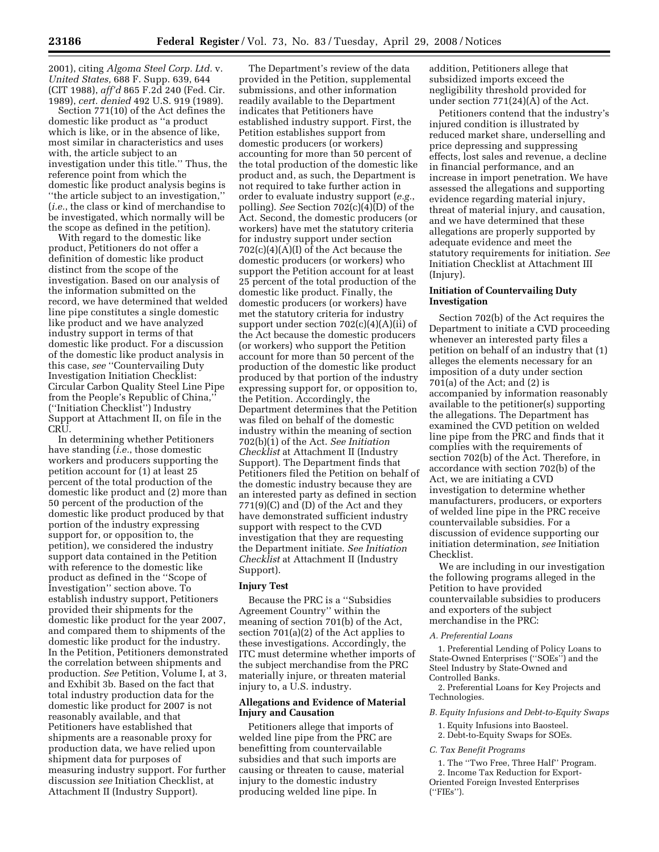2001), citing *Algoma Steel Corp. Ltd.* v. *United States,* 688 F. Supp. 639, 644 (CIT 1988), *aff'd* 865 F.2d 240 (Fed. Cir. 1989), *cert. denied* 492 U.S. 919 (1989).

Section 771(10) of the Act defines the domestic like product as ''a product which is like, or in the absence of like, most similar in characteristics and uses with, the article subject to an investigation under this title.'' Thus, the reference point from which the domestic like product analysis begins is ''the article subject to an investigation,'' (*i.e.*, the class or kind of merchandise to be investigated, which normally will be the scope as defined in the petition).

With regard to the domestic like product, Petitioners do not offer a definition of domestic like product distinct from the scope of the investigation. Based on our analysis of the information submitted on the record, we have determined that welded line pipe constitutes a single domestic like product and we have analyzed industry support in terms of that domestic like product. For a discussion of the domestic like product analysis in this case, *see* ''Countervailing Duty Investigation Initiation Checklist: Circular Carbon Quality Steel Line Pipe from the People's Republic of China,'' (''Initiation Checklist'') Industry Support at Attachment II, on file in the CRU.

In determining whether Petitioners have standing (*i.e.*, those domestic workers and producers supporting the petition account for (1) at least 25 percent of the total production of the domestic like product and (2) more than 50 percent of the production of the domestic like product produced by that portion of the industry expressing support for, or opposition to, the petition), we considered the industry support data contained in the Petition with reference to the domestic like product as defined in the ''Scope of Investigation'' section above. To establish industry support, Petitioners provided their shipments for the domestic like product for the year 2007, and compared them to shipments of the domestic like product for the industry. In the Petition, Petitioners demonstrated the correlation between shipments and production. *See* Petition, Volume I, at 3, and Exhibit 3b. Based on the fact that total industry production data for the domestic like product for 2007 is not reasonably available, and that Petitioners have established that shipments are a reasonable proxy for production data, we have relied upon shipment data for purposes of measuring industry support. For further discussion *see* Initiation Checklist, at Attachment II (Industry Support).

The Department's review of the data provided in the Petition, supplemental submissions, and other information readily available to the Department indicates that Petitioners have established industry support. First, the Petition establishes support from domestic producers (or workers) accounting for more than 50 percent of the total production of the domestic like product and, as such, the Department is not required to take further action in order to evaluate industry support (*e.g.*, polling). *See* Section 702(c)(4)(D) of the Act. Second, the domestic producers (or workers) have met the statutory criteria for industry support under section  $702(c)(4)(A)(I)$  of the Act because the domestic producers (or workers) who support the Petition account for at least 25 percent of the total production of the domestic like product. Finally, the domestic producers (or workers) have met the statutory criteria for industry support under section  $702(c)(4)(A)(ii)$  of the Act because the domestic producers (or workers) who support the Petition account for more than 50 percent of the production of the domestic like product produced by that portion of the industry expressing support for, or opposition to, the Petition. Accordingly, the Department determines that the Petition was filed on behalf of the domestic industry within the meaning of section 702(b)(1) of the Act. *See Initiation Checklist* at Attachment II (Industry Support). The Department finds that Petitioners filed the Petition on behalf of the domestic industry because they are an interested party as defined in section 771(9)(C) and (D) of the Act and they have demonstrated sufficient industry support with respect to the CVD investigation that they are requesting the Department initiate. *See Initiation Checklist* at Attachment II (Industry Support).

## **Injury Test**

Because the PRC is a ''Subsidies Agreement Country'' within the meaning of section 701(b) of the Act, section 701(a)(2) of the Act applies to these investigations. Accordingly, the ITC must determine whether imports of the subject merchandise from the PRC materially injure, or threaten material injury to, a U.S. industry.

# **Allegations and Evidence of Material Injury and Causation**

Petitioners allege that imports of welded line pipe from the PRC are benefitting from countervailable subsidies and that such imports are causing or threaten to cause, material injury to the domestic industry producing welded line pipe. In

addition, Petitioners allege that subsidized imports exceed the negligibility threshold provided for under section 771(24)(A) of the Act.

Petitioners contend that the industry's injured condition is illustrated by reduced market share, underselling and price depressing and suppressing effects, lost sales and revenue, a decline in financial performance, and an increase in import penetration. We have assessed the allegations and supporting evidence regarding material injury, threat of material injury, and causation, and we have determined that these allegations are properly supported by adequate evidence and meet the statutory requirements for initiation. *See*  Initiation Checklist at Attachment III (Injury).

### **Initiation of Countervailing Duty Investigation**

Section 702(b) of the Act requires the Department to initiate a CVD proceeding whenever an interested party files a petition on behalf of an industry that (1) alleges the elements necessary for an imposition of a duty under section 701(a) of the Act; and (2) is accompanied by information reasonably available to the petitioner(s) supporting the allegations. The Department has examined the CVD petition on welded line pipe from the PRC and finds that it complies with the requirements of section 702(b) of the Act. Therefore, in accordance with section 702(b) of the Act, we are initiating a CVD investigation to determine whether manufacturers, producers, or exporters of welded line pipe in the PRC receive countervailable subsidies. For a discussion of evidence supporting our initiation determination, *see* Initiation Checklist.

We are including in our investigation the following programs alleged in the Petition to have provided countervailable subsidies to producers and exporters of the subject merchandise in the PRC:

### *A. Preferential Loans*

1. Preferential Lending of Policy Loans to State-Owned Enterprises (''SOEs'') and the Steel Industry by State-Owned and Controlled Banks.

2. Preferential Loans for Key Projects and Technologies.

### *B. Equity Infusions and Debt-to-Equity Swaps*

- 1. Equity Infusions into Baosteel.
- 2. Debt-to-Equity Swaps for SOEs.
- *C. Tax Benefit Programs* 
	- 1. The ''Two Free, Three Half'' Program.
	- 2. Income Tax Reduction for Export-
- Oriented Foreign Invested Enterprises (''FIEs'').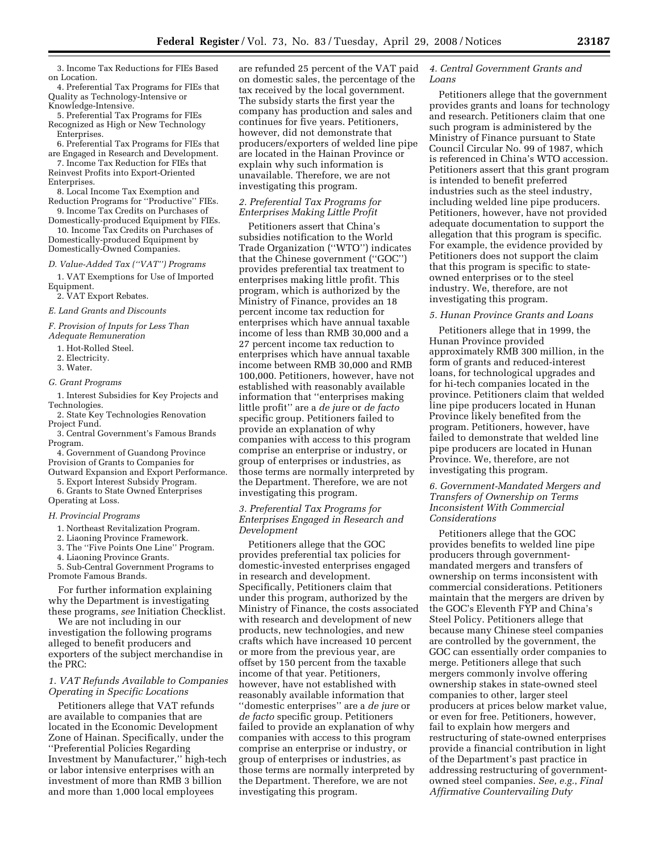3. Income Tax Reductions for FIEs Based on Location.

4. Preferential Tax Programs for FIEs that Quality as Technology-Intensive or Knowledge-Intensive.

5. Preferential Tax Programs for FIEs Recognized as High or New Technology Enterprises.

6. Preferential Tax Programs for FIEs that are Engaged in Research and Development.

7. Income Tax Reduction for FIEs that Reinvest Profits into Export-Oriented

Enterprises. 8. Local Income Tax Exemption and

Reduction Programs for ''Productive'' FIEs. 9. Income Tax Credits on Purchases of

Domestically-produced Equipment by FIEs. 10. Income Tax Credits on Purchases of Domestically-produced Equipment by

# *D. Value-Added Tax (''VAT'') Programs*

Domestically-Owned Companies.

1. VAT Exemptions for Use of Imported

Equipment.

2. VAT Export Rebates.

*E. Land Grants and Discounts* 

*F. Provision of Inputs for Less Than Adequate Remuneration* 

1. Hot-Rolled Steel.

- 2. Electricity.
- 3. Water.

### *G. Grant Programs*

1. Interest Subsidies for Key Projects and Technologies.

2. State Key Technologies Renovation Project Fund.

3. Central Government's Famous Brands Program.

4. Government of Guandong Province Provision of Grants to Companies for

Outward Expansion and Export Performance. 5. Export Interest Subsidy Program.

6. Grants to State Owned Enterprises

Operating at Loss.

### *H. Provincial Programs*

1. Northeast Revitalization Program.

2. Liaoning Province Framework.

3. The ''Five Points One Line'' Program.

4. Liaoning Province Grants.

5. Sub-Central Government Programs to Promote Famous Brands.

For further information explaining why the Department is investigating these programs, *see* Initiation Checklist.

We are not including in our investigation the following programs alleged to benefit producers and exporters of the subject merchandise in the PRC:

## *1. VAT Refunds Available to Companies Operating in Specific Locations*

Petitioners allege that VAT refunds are available to companies that are located in the Economic Development Zone of Hainan. Specifically, under the ''Preferential Policies Regarding Investment by Manufacturer,'' high-tech or labor intensive enterprises with an investment of more than RMB 3 billion and more than 1,000 local employees

are refunded 25 percent of the VAT paid on domestic sales, the percentage of the tax received by the local government. The subsidy starts the first year the company has production and sales and continues for five years. Petitioners, however, did not demonstrate that producers/exporters of welded line pipe are located in the Hainan Province or explain why such information is unavailable. Therefore, we are not investigating this program.

### *2. Preferential Tax Programs for Enterprises Making Little Profit*

Petitioners assert that China's subsidies notification to the World Trade Organization (''WTO'') indicates that the Chinese government (''GOC'') provides preferential tax treatment to enterprises making little profit. This program, which is authorized by the Ministry of Finance, provides an 18 percent income tax reduction for enterprises which have annual taxable income of less than RMB 30,000 and a 27 percent income tax reduction to enterprises which have annual taxable income between RMB 30,000 and RMB 100,000. Petitioners, however, have not established with reasonably available information that ''enterprises making little profit'' are a *de jure* or *de facto*  specific group. Petitioners failed to provide an explanation of why companies with access to this program comprise an enterprise or industry, or group of enterprises or industries, as those terms are normally interpreted by the Department. Therefore, we are not investigating this program.

## *3. Preferential Tax Programs for Enterprises Engaged in Research and Development*

Petitioners allege that the GOC provides preferential tax policies for domestic-invested enterprises engaged in research and development. Specifically, Petitioners claim that under this program, authorized by the Ministry of Finance, the costs associated with research and development of new products, new technologies, and new crafts which have increased 10 percent or more from the previous year, are offset by 150 percent from the taxable income of that year. Petitioners, however, have not established with reasonably available information that ''domestic enterprises'' are a *de jure* or *de facto* specific group. Petitioners failed to provide an explanation of why companies with access to this program comprise an enterprise or industry, or group of enterprises or industries, as those terms are normally interpreted by the Department. Therefore, we are not investigating this program.

## *4. Central Government Grants and Loans*

Petitioners allege that the government provides grants and loans for technology and research. Petitioners claim that one such program is administered by the Ministry of Finance pursuant to State Council Circular No. 99 of 1987, which is referenced in China's WTO accession. Petitioners assert that this grant program is intended to benefit preferred industries such as the steel industry, including welded line pipe producers. Petitioners, however, have not provided adequate documentation to support the allegation that this program is specific. For example, the evidence provided by Petitioners does not support the claim that this program is specific to stateowned enterprises or to the steel industry. We, therefore, are not investigating this program.

### *5. Hunan Province Grants and Loans*

Petitioners allege that in 1999, the Hunan Province provided approximately RMB 300 million, in the form of grants and reduced-interest loans, for technological upgrades and for hi-tech companies located in the province. Petitioners claim that welded line pipe producers located in Hunan Province likely benefited from the program. Petitioners, however, have failed to demonstrate that welded line pipe producers are located in Hunan Province. We, therefore, are not investigating this program.

# *6. Government-Mandated Mergers and Transfers of Ownership on Terms Inconsistent With Commercial Considerations*

Petitioners allege that the GOC provides benefits to welded line pipe producers through governmentmandated mergers and transfers of ownership on terms inconsistent with commercial considerations. Petitioners maintain that the mergers are driven by the GOC's Eleventh FYP and China's Steel Policy. Petitioners allege that because many Chinese steel companies are controlled by the government, the GOC can essentially order companies to merge. Petitioners allege that such mergers commonly involve offering ownership stakes in state-owned steel companies to other, larger steel producers at prices below market value, or even for free. Petitioners, however, fail to explain how mergers and restructuring of state-owned enterprises provide a financial contribution in light of the Department's past practice in addressing restructuring of governmentowned steel companies. *See*, *e.g.*, *Final Affirmative Countervailing Duty*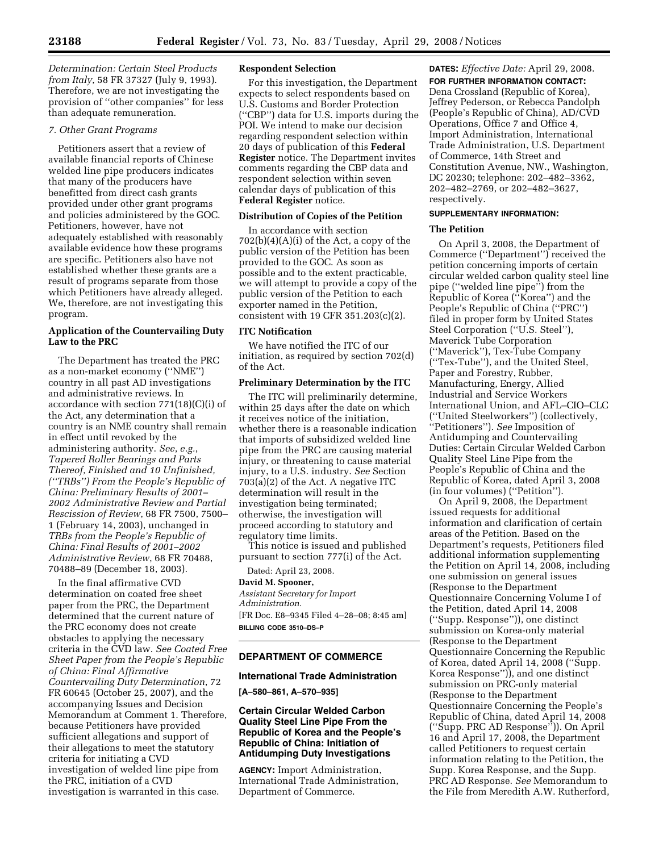*Determination: Certain Steel Products from Italy*, 58 FR 37327 (July 9, 1993). Therefore, we are not investigating the provision of ''other companies'' for less than adequate remuneration.

## *7. Other Grant Programs*

Petitioners assert that a review of available financial reports of Chinese welded line pipe producers indicates that many of the producers have benefitted from direct cash grants provided under other grant programs and policies administered by the GOC. Petitioners, however, have not adequately established with reasonably available evidence how these programs are specific. Petitioners also have not established whether these grants are a result of programs separate from those which Petitioners have already alleged. We, therefore, are not investigating this program.

# **Application of the Countervailing Duty Law to the PRC**

The Department has treated the PRC as a non-market economy (''NME'') country in all past AD investigations and administrative reviews. In accordance with section 771(18)(C)(i) of the Act, any determination that a country is an NME country shall remain in effect until revoked by the administering authority. *See*, *e.g.*, *Tapered Roller Bearings and Parts Thereof, Finished and 10 Unfinished, (''TRBs'') From the People's Republic of China: Preliminary Results of 2001– 2002 Administrative Review and Partial Rescission of Review*, 68 FR 7500, 7500– 1 (February 14, 2003), unchanged in *TRBs from the People's Republic of China: Final Results of 2001–2002 Administrative Review*, 68 FR 70488, 70488–89 (December 18, 2003).

In the final affirmative CVD determination on coated free sheet paper from the PRC, the Department determined that the current nature of the PRC economy does not create obstacles to applying the necessary criteria in the CVD law. *See Coated Free Sheet Paper from the People's Republic of China: Final Affirmative Countervailing Duty Determination*, 72 FR 60645 (October 25, 2007), and the accompanying Issues and Decision Memorandum at Comment 1. Therefore, because Petitioners have provided sufficient allegations and support of their allegations to meet the statutory criteria for initiating a CVD investigation of welded line pipe from the PRC, initiation of a CVD investigation is warranted in this case.

### **Respondent Selection**

For this investigation, the Department expects to select respondents based on U.S. Customs and Border Protection (''CBP'') data for U.S. imports during the POI. We intend to make our decision regarding respondent selection within 20 days of publication of this **Federal Register** notice. The Department invites comments regarding the CBP data and respondent selection within seven calendar days of publication of this **Federal Register** notice.

### **Distribution of Copies of the Petition**

In accordance with section  $702(b)(4)(A)(i)$  of the Act, a copy of the public version of the Petition has been provided to the GOC. As soon as possible and to the extent practicable, we will attempt to provide a copy of the public version of the Petition to each exporter named in the Petition, consistent with 19 CFR 351.203(c)(2).

## **ITC Notification**

We have notified the ITC of our initiation, as required by section 702(d) of the Act.

### **Preliminary Determination by the ITC**

The ITC will preliminarily determine, within 25 days after the date on which it receives notice of the initiation, whether there is a reasonable indication that imports of subsidized welded line pipe from the PRC are causing material injury, or threatening to cause material injury, to a U.S. industry. *See* Section 703(a)(2) of the Act. A negative ITC determination will result in the investigation being terminated; otherwise, the investigation will proceed according to statutory and regulatory time limits.

This notice is issued and published pursuant to section 777(i) of the Act.

Dated: April 23, 2008.

# **David M. Spooner,**

*Assistant Secretary for Import Administration.*  [FR Doc. E8–9345 Filed 4–28–08; 8:45 am] **BILLING CODE 3510–DS–P** 

# **DEPARTMENT OF COMMERCE**

### **International Trade Administration**

**[A–580–861, A–570–935]** 

## **Certain Circular Welded Carbon Quality Steel Line Pipe From the Republic of Korea and the People's Republic of China: Initiation of Antidumping Duty Investigations**

**AGENCY:** Import Administration, International Trade Administration, Department of Commerce.

**DATES:** *Effective Date:* April 29, 2008. **FOR FURTHER INFORMATION CONTACT:**  Dena Crossland (Republic of Korea), Jeffrey Pederson, or Rebecca Pandolph (People's Republic of China), AD/CVD Operations, Office 7 and Office 4, Import Administration, International Trade Administration, U.S. Department of Commerce, 14th Street and Constitution Avenue, NW., Washington, DC 20230; telephone: 202–482–3362, 202–482–2769, or 202–482–3627, respectively.

# **SUPPLEMENTARY INFORMATION:**

### **The Petition**

On April 3, 2008, the Department of Commerce (''Department'') received the petition concerning imports of certain circular welded carbon quality steel line pipe (''welded line pipe'') from the Republic of Korea (''Korea'') and the People's Republic of China (''PRC'') filed in proper form by United States Steel Corporation (''U.S. Steel''), Maverick Tube Corporation (''Maverick''), Tex-Tube Company (''Tex-Tube''), and the United Steel, Paper and Forestry, Rubber, Manufacturing, Energy, Allied Industrial and Service Workers International Union, and AFL–CIO–CLC (''United Steelworkers'') (collectively, ''Petitioners''). *See* Imposition of Antidumping and Countervailing Duties: Certain Circular Welded Carbon Quality Steel Line Pipe from the People's Republic of China and the Republic of Korea, dated April 3, 2008 (in four volumes) (''Petition'').

On April 9, 2008, the Department issued requests for additional information and clarification of certain areas of the Petition. Based on the Department's requests, Petitioners filed additional information supplementing the Petition on April 14, 2008, including one submission on general issues (Response to the Department Questionnaire Concerning Volume I of the Petition, dated April 14, 2008 (''Supp. Response'')), one distinct submission on Korea-only material (Response to the Department Questionnaire Concerning the Republic of Korea, dated April 14, 2008 (''Supp. Korea Response'')), and one distinct submission on PRC-only material (Response to the Department Questionnaire Concerning the People's Republic of China, dated April 14, 2008 (''Supp. PRC AD Response'')). On April 16 and April 17, 2008, the Department called Petitioners to request certain information relating to the Petition, the Supp. Korea Response, and the Supp. PRC AD Response. *See* Memorandum to the File from Meredith A.W. Rutherford,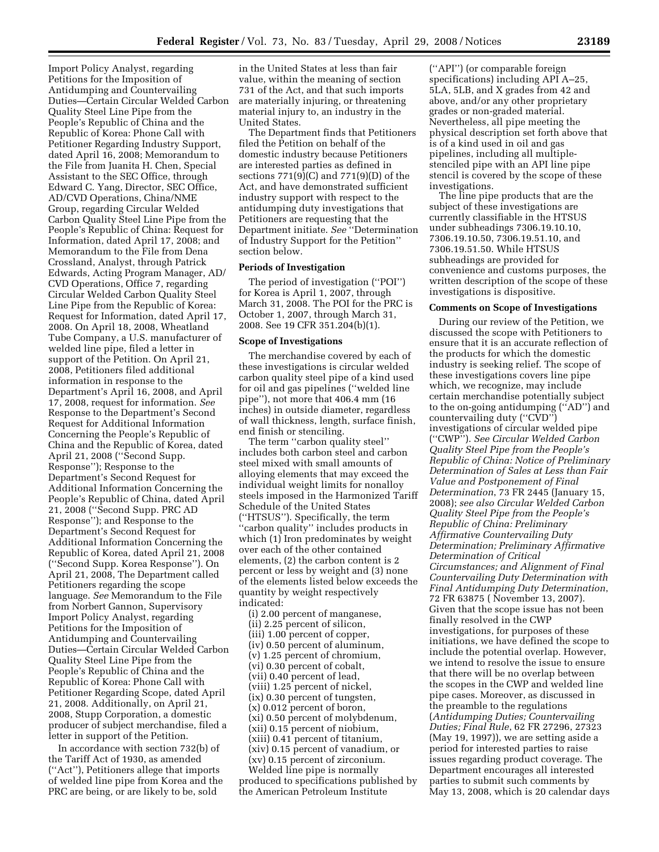Import Policy Analyst, regarding Petitions for the Imposition of Antidumping and Countervailing Duties—Certain Circular Welded Carbon Quality Steel Line Pipe from the People's Republic of China and the Republic of Korea: Phone Call with Petitioner Regarding Industry Support, dated April 16, 2008; Memorandum to the File from Juanita H. Chen, Special Assistant to the SEC Office, through Edward C. Yang, Director, SEC Office, AD/CVD Operations, China/NME Group, regarding Circular Welded Carbon Quality Steel Line Pipe from the People's Republic of China: Request for Information, dated April 17, 2008; and Memorandum to the File from Dena Crossland, Analyst, through Patrick Edwards, Acting Program Manager, AD/ CVD Operations, Office 7, regarding Circular Welded Carbon Quality Steel Line Pipe from the Republic of Korea: Request for Information, dated April 17, 2008. On April 18, 2008, Wheatland Tube Company, a U.S. manufacturer of welded line pipe, filed a letter in support of the Petition. On April 21, 2008, Petitioners filed additional information in response to the Department's April 16, 2008, and April 17, 2008, request for information. *See*  Response to the Department's Second Request for Additional Information Concerning the People's Republic of China and the Republic of Korea, dated April 21, 2008 (''Second Supp. Response''); Response to the Department's Second Request for Additional Information Concerning the People's Republic of China, dated April 21, 2008 (''Second Supp. PRC AD Response''); and Response to the Department's Second Request for Additional Information Concerning the Republic of Korea, dated April 21, 2008 (''Second Supp. Korea Response''). On April 21, 2008, The Department called Petitioners regarding the scope language. *See* Memorandum to the File from Norbert Gannon, Supervisory Import Policy Analyst, regarding Petitions for the Imposition of Antidumping and Countervailing Duties—Certain Circular Welded Carbon Quality Steel Line Pipe from the People's Republic of China and the Republic of Korea: Phone Call with Petitioner Regarding Scope, dated April 21, 2008. Additionally, on April 21, 2008, Stupp Corporation, a domestic producer of subject merchandise, filed a letter in support of the Petition.

In accordance with section 732(b) of the Tariff Act of 1930, as amended (''Act''), Petitioners allege that imports of welded line pipe from Korea and the PRC are being, or are likely to be, sold

in the United States at less than fair value, within the meaning of section 731 of the Act, and that such imports are materially injuring, or threatening material injury to, an industry in the United States.

The Department finds that Petitioners filed the Petition on behalf of the domestic industry because Petitioners are interested parties as defined in sections 771(9)(C) and 771(9)(D) of the Act, and have demonstrated sufficient industry support with respect to the antidumping duty investigations that Petitioners are requesting that the Department initiate. *See* ''Determination of Industry Support for the Petition'' section below.

### **Periods of Investigation**

The period of investigation (''POI'') for Korea is April 1, 2007, through March 31, 2008. The POI for the PRC is October 1, 2007, through March 31, 2008. See 19 CFR 351.204(b)(1).

### **Scope of Investigations**

The merchandise covered by each of these investigations is circular welded carbon quality steel pipe of a kind used for oil and gas pipelines (''welded line pipe''), not more that 406.4 mm (16 inches) in outside diameter, regardless of wall thickness, length, surface finish, end finish or stenciling.

The term "carbon quality steel" includes both carbon steel and carbon steel mixed with small amounts of alloying elements that may exceed the individual weight limits for nonalloy steels imposed in the Harmonized Tariff Schedule of the United States (''HTSUS''). Specifically, the term ''carbon quality'' includes products in which (1) Iron predominates by weight over each of the other contained elements, (2) the carbon content is 2 percent or less by weight and (3) none of the elements listed below exceeds the quantity by weight respectively indicated:

(i) 2.00 percent of manganese, (ii) 2.25 percent of silicon, (iii) 1.00 percent of copper, (iv) 0.50 percent of aluminum, (v) 1.25 percent of chromium, (vi) 0.30 percent of cobalt, (vii) 0.40 percent of lead, (viii) 1.25 percent of nickel, (ix) 0.30 percent of tungsten, (x) 0.012 percent of boron, (xi) 0.50 percent of molybdenum, (xii) 0.15 percent of niobium, (xiii) 0.41 percent of titanium, (xiv) 0.15 percent of vanadium, or (xv) 0.15 percent of zirconium. Welded line pipe is normally produced to specifications published by the American Petroleum Institute

(''API'') (or comparable foreign specifications) including API A–25, 5LA, 5LB, and X grades from 42 and above, and/or any other proprietary grades or non-graded material. Nevertheless, all pipe meeting the physical description set forth above that is of a kind used in oil and gas pipelines, including all multiplestenciled pipe with an API line pipe stencil is covered by the scope of these investigations.

The line pipe products that are the subject of these investigations are currently classifiable in the HTSUS under subheadings 7306.19.10.10, 7306.19.10.50, 7306.19.51.10, and 7306.19.51.50. While HTSUS subheadings are provided for convenience and customs purposes, the written description of the scope of these investigations is dispositive.

### **Comments on Scope of Investigations**

During our review of the Petition, we discussed the scope with Petitioners to ensure that it is an accurate reflection of the products for which the domestic industry is seeking relief. The scope of these investigations covers line pipe which, we recognize, may include certain merchandise potentially subject to the on-going antidumping (''AD'') and countervailing duty (''CVD'') investigations of circular welded pipe (''CWP''). *See Circular Welded Carbon Quality Steel Pipe from the People's Republic of China: Notice of Preliminary Determination of Sales at Less than Fair Value and Postponement of Final Determination*, 73 FR 2445 (January 15, 2008); *see also Circular Welded Carbon Quality Steel Pipe from the People's Republic of China: Preliminary Affirmative Countervailing Duty Determination; Preliminary Affirmative Determination of Critical Circumstances; and Alignment of Final Countervailing Duty Determination with Final Antidumping Duty Determination*, 72 FR 63875 ( November 13, 2007). Given that the scope issue has not been finally resolved in the CWP investigations, for purposes of these initiations, we have defined the scope to include the potential overlap. However, we intend to resolve the issue to ensure that there will be no overlap between the scopes in the CWP and welded line pipe cases. Moreover, as discussed in the preamble to the regulations (*Antidumping Duties; Countervailing Duties; Final Rule*, 62 FR 27296, 27323 (May 19, 1997)), we are setting aside a period for interested parties to raise issues regarding product coverage. The Department encourages all interested parties to submit such comments by May 13, 2008, which is 20 calendar days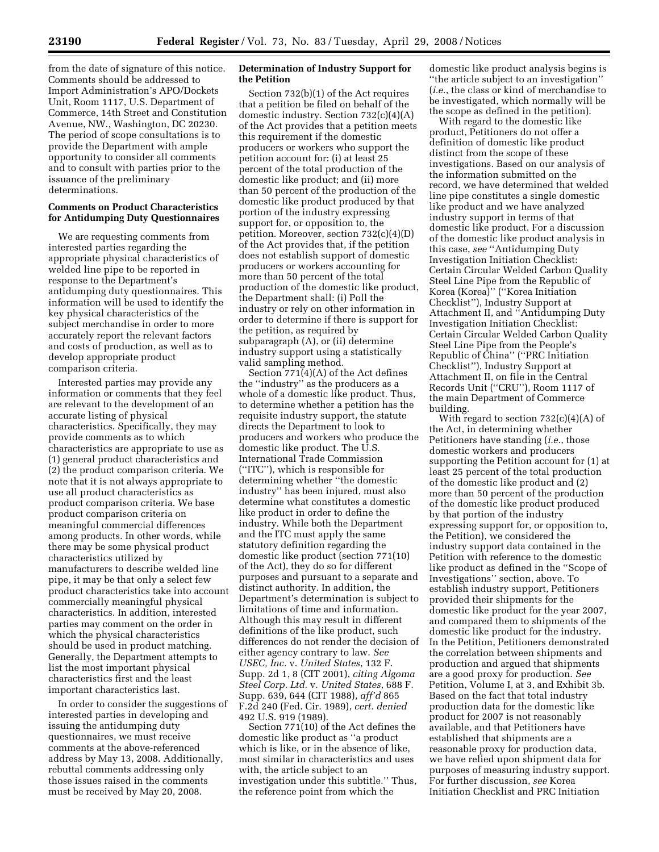from the date of signature of this notice. Comments should be addressed to Import Administration's APO/Dockets Unit, Room 1117, U.S. Department of Commerce, 14th Street and Constitution Avenue, NW., Washington, DC 20230. The period of scope consultations is to provide the Department with ample opportunity to consider all comments and to consult with parties prior to the issuance of the preliminary determinations.

## **Comments on Product Characteristics for Antidumping Duty Questionnaires**

We are requesting comments from interested parties regarding the appropriate physical characteristics of welded line pipe to be reported in response to the Department's antidumping duty questionnaires. This information will be used to identify the key physical characteristics of the subject merchandise in order to more accurately report the relevant factors and costs of production, as well as to develop appropriate product comparison criteria.

Interested parties may provide any information or comments that they feel are relevant to the development of an accurate listing of physical characteristics. Specifically, they may provide comments as to which characteristics are appropriate to use as (1) general product characteristics and (2) the product comparison criteria. We note that it is not always appropriate to use all product characteristics as product comparison criteria. We base product comparison criteria on meaningful commercial differences among products. In other words, while there may be some physical product characteristics utilized by manufacturers to describe welded line pipe, it may be that only a select few product characteristics take into account commercially meaningful physical characteristics. In addition, interested parties may comment on the order in which the physical characteristics should be used in product matching. Generally, the Department attempts to list the most important physical characteristics first and the least important characteristics last.

In order to consider the suggestions of interested parties in developing and issuing the antidumping duty questionnaires, we must receive comments at the above-referenced address by May 13, 2008. Additionally, rebuttal comments addressing only those issues raised in the comments must be received by May 20, 2008.

# **Determination of Industry Support for the Petition**

Section 732(b)(1) of the Act requires that a petition be filed on behalf of the domestic industry. Section 732(c)(4)(A) of the Act provides that a petition meets this requirement if the domestic producers or workers who support the petition account for: (i) at least 25 percent of the total production of the domestic like product; and (ii) more than 50 percent of the production of the domestic like product produced by that portion of the industry expressing support for, or opposition to, the petition. Moreover, section 732(c)(4)(D) of the Act provides that, if the petition does not establish support of domestic producers or workers accounting for more than 50 percent of the total production of the domestic like product, the Department shall: (i) Poll the industry or rely on other information in order to determine if there is support for the petition, as required by subparagraph (A), or (ii) determine industry support using a statistically valid sampling method.

Section 771(4)(A) of the Act defines the ''industry'' as the producers as a whole of a domestic like product. Thus, to determine whether a petition has the requisite industry support, the statute directs the Department to look to producers and workers who produce the domestic like product. The U.S. International Trade Commission (''ITC''), which is responsible for determining whether ''the domestic industry'' has been injured, must also determine what constitutes a domestic like product in order to define the industry. While both the Department and the ITC must apply the same statutory definition regarding the domestic like product (section 771(10) of the Act), they do so for different purposes and pursuant to a separate and distinct authority. In addition, the Department's determination is subject to limitations of time and information. Although this may result in different definitions of the like product, such differences do not render the decision of either agency contrary to law. *See USEC, Inc.* v. *United States*, 132 F. Supp. 2d 1, 8 (CIT 2001), *citing Algoma Steel Corp. Ltd.* v. *United States*, 688 F. Supp. 639, 644 (CIT 1988), *aff'd* 865 F.2d 240 (Fed. Cir. 1989), *cert. denied*  492 U.S. 919 (1989).

Section 771(10) of the Act defines the domestic like product as ''a product which is like, or in the absence of like, most similar in characteristics and uses with, the article subject to an investigation under this subtitle.'' Thus, the reference point from which the

domestic like product analysis begins is ''the article subject to an investigation'' (*i.e.*, the class or kind of merchandise to be investigated, which normally will be the scope as defined in the petition).

With regard to the domestic like product, Petitioners do not offer a definition of domestic like product distinct from the scope of these investigations. Based on our analysis of the information submitted on the record, we have determined that welded line pipe constitutes a single domestic like product and we have analyzed industry support in terms of that domestic like product. For a discussion of the domestic like product analysis in this case, *see* ''Antidumping Duty Investigation Initiation Checklist: Certain Circular Welded Carbon Quality Steel Line Pipe from the Republic of Korea (Korea)'' (''Korea Initiation Checklist''), Industry Support at Attachment II, and ''Antidumping Duty Investigation Initiation Checklist: Certain Circular Welded Carbon Quality Steel Line Pipe from the People's Republic of China'' (''PRC Initiation Checklist''), Industry Support at Attachment II, on file in the Central Records Unit (''CRU''), Room 1117 of the main Department of Commerce building.

With regard to section  $732(c)(4)(A)$  of the Act, in determining whether Petitioners have standing (*i.e.*, those domestic workers and producers supporting the Petition account for (1) at least 25 percent of the total production of the domestic like product and (2) more than 50 percent of the production of the domestic like product produced by that portion of the industry expressing support for, or opposition to, the Petition), we considered the industry support data contained in the Petition with reference to the domestic like product as defined in the ''Scope of Investigations'' section, above. To establish industry support, Petitioners provided their shipments for the domestic like product for the year 2007, and compared them to shipments of the domestic like product for the industry. In the Petition, Petitioners demonstrated the correlation between shipments and production and argued that shipments are a good proxy for production. *See*  Petition, Volume I, at 3, and Exhibit 3b. Based on the fact that total industry production data for the domestic like product for 2007 is not reasonably available, and that Petitioners have established that shipments are a reasonable proxy for production data, we have relied upon shipment data for purposes of measuring industry support. For further discussion, *see* Korea Initiation Checklist and PRC Initiation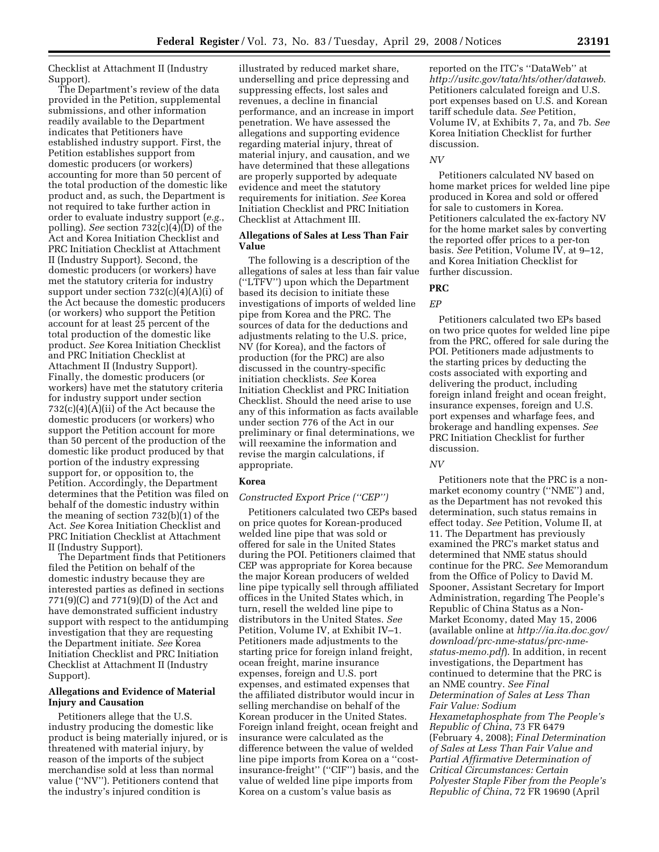Checklist at Attachment II (Industry Support).

The Department's review of the data provided in the Petition, supplemental submissions, and other information readily available to the Department indicates that Petitioners have established industry support. First, the Petition establishes support from domestic producers (or workers) accounting for more than 50 percent of the total production of the domestic like product and, as such, the Department is not required to take further action in order to evaluate industry support (*e.g.*, polling). *See* section 732(c)(4)(D) of the Act and Korea Initiation Checklist and PRC Initiation Checklist at Attachment II (Industry Support). Second, the domestic producers (or workers) have met the statutory criteria for industry support under section 732(c)(4)(A)(i) of the Act because the domestic producers (or workers) who support the Petition account for at least 25 percent of the total production of the domestic like product. *See* Korea Initiation Checklist and PRC Initiation Checklist at Attachment II (Industry Support). Finally, the domestic producers (or workers) have met the statutory criteria for industry support under section 732(c)(4)(A)(ii) of the Act because the domestic producers (or workers) who support the Petition account for more than 50 percent of the production of the domestic like product produced by that portion of the industry expressing support for, or opposition to, the Petition. Accordingly, the Department determines that the Petition was filed on behalf of the domestic industry within the meaning of section 732(b)(1) of the Act. *See* Korea Initiation Checklist and PRC Initiation Checklist at Attachment II (Industry Support).

The Department finds that Petitioners filed the Petition on behalf of the domestic industry because they are interested parties as defined in sections 771(9)(C) and 771(9)(D) of the Act and have demonstrated sufficient industry support with respect to the antidumping investigation that they are requesting the Department initiate. *See* Korea Initiation Checklist and PRC Initiation Checklist at Attachment II (Industry Support).

## **Allegations and Evidence of Material Injury and Causation**

Petitioners allege that the U.S. industry producing the domestic like product is being materially injured, or is threatened with material injury, by reason of the imports of the subject merchandise sold at less than normal value (''NV''). Petitioners contend that the industry's injured condition is

illustrated by reduced market share, underselling and price depressing and suppressing effects, lost sales and revenues, a decline in financial performance, and an increase in import penetration. We have assessed the allegations and supporting evidence regarding material injury, threat of material injury, and causation, and we have determined that these allegations are properly supported by adequate evidence and meet the statutory requirements for initiation. *See* Korea Initiation Checklist and PRC Initiation Checklist at Attachment III.

# **Allegations of Sales at Less Than Fair Value**

The following is a description of the allegations of sales at less than fair value (''LTFV'') upon which the Department based its decision to initiate these investigations of imports of welded line pipe from Korea and the PRC. The sources of data for the deductions and adjustments relating to the U.S. price, NV (for Korea), and the factors of production (for the PRC) are also discussed in the country-specific initiation checklists. *See* Korea Initiation Checklist and PRC Initiation Checklist. Should the need arise to use any of this information as facts available under section 776 of the Act in our preliminary or final determinations, we will reexamine the information and revise the margin calculations, if appropriate.

### **Korea**

## *Constructed Export Price (''CEP'')*

Petitioners calculated two CEPs based on price quotes for Korean-produced welded line pipe that was sold or offered for sale in the United States during the POI. Petitioners claimed that CEP was appropriate for Korea because the major Korean producers of welded line pipe typically sell through affiliated offices in the United States which, in turn, resell the welded line pipe to distributors in the United States. *See*  Petition, Volume IV, at Exhibit IV–1. Petitioners made adjustments to the starting price for foreign inland freight, ocean freight, marine insurance expenses, foreign and U.S. port expenses, and estimated expenses that the affiliated distributor would incur in selling merchandise on behalf of the Korean producer in the United States. Foreign inland freight, ocean freight and insurance were calculated as the difference between the value of welded line pipe imports from Korea on a ''costinsurance-freight'' (''CIF'') basis, and the value of welded line pipe imports from Korea on a custom's value basis as

reported on the ITC's ''DataWeb'' at *http://usitc.gov/tata/hts/other/dataweb*. Petitioners calculated foreign and U.S. port expenses based on U.S. and Korean tariff schedule data. *See* Petition, Volume IV, at Exhibits 7, 7a, and 7b. *See*  Korea Initiation Checklist for further discussion.

### *NV*

Petitioners calculated NV based on home market prices for welded line pipe produced in Korea and sold or offered for sale to customers in Korea. Petitioners calculated the ex-factory NV for the home market sales by converting the reported offer prices to a per-ton basis. *See* Petition, Volume IV, at 9–12, and Korea Initiation Checklist for further discussion.

# **PRC**

# *EP*

Petitioners calculated two EPs based on two price quotes for welded line pipe from the PRC, offered for sale during the POI. Petitioners made adjustments to the starting prices by deducting the costs associated with exporting and delivering the product, including foreign inland freight and ocean freight, insurance expenses, foreign and U.S. port expenses and wharfage fees, and brokerage and handling expenses. *See*  PRC Initiation Checklist for further discussion.

### *NV*

Petitioners note that the PRC is a nonmarket economy country (''NME'') and, as the Department has not revoked this determination, such status remains in effect today. *See* Petition, Volume II, at 11. The Department has previously examined the PRC's market status and determined that NME status should continue for the PRC. *See* Memorandum from the Office of Policy to David M. Spooner, Assistant Secretary for Import Administration, regarding The People's Republic of China Status as a Non-Market Economy, dated May 15, 2006 (available online at *http://ia.ita.doc.gov/ download/prc-nme-status/prc-nmestatus-memo.pdf*). In addition, in recent investigations, the Department has continued to determine that the PRC is an NME country. *See Final Determination of Sales at Less Than Fair Value: Sodium Hexametaphosphate from The People's Republic of China*, 73 FR 6479 (February 4, 2008); *Final Determination of Sales at Less Than Fair Value and Partial Affirmative Determination of Critical Circumstances: Certain Polyester Staple Fiber from the People's Republic of China*, 72 FR 19690 (April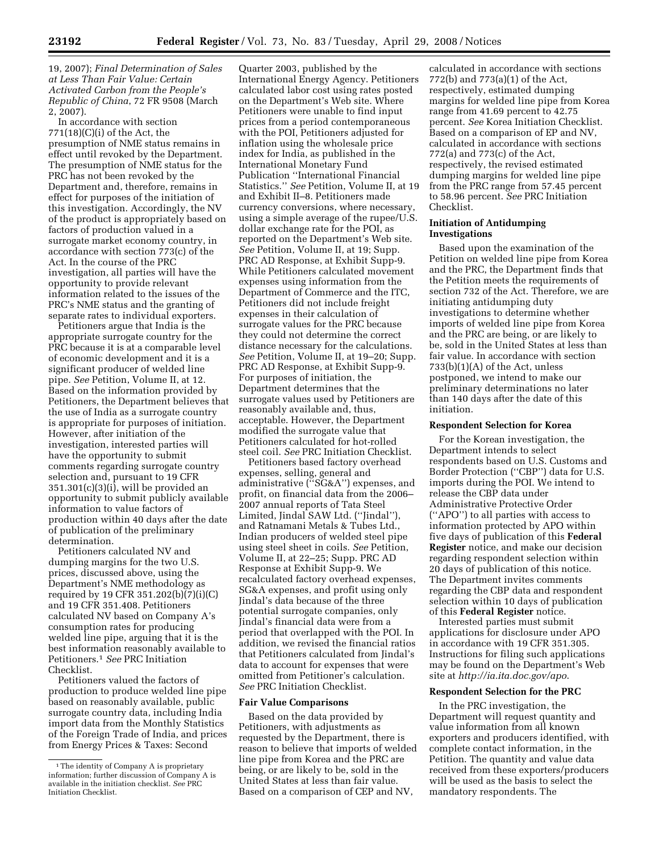19, 2007); *Final Determination of Sales at Less Than Fair Value: Certain Activated Carbon from the People's Republic of China*, 72 FR 9508 (March 2, 2007).

In accordance with section  $771(18)(C)(i)$  of the Act, the presumption of NME status remains in effect until revoked by the Department. The presumption of NME status for the PRC has not been revoked by the Department and, therefore, remains in effect for purposes of the initiation of this investigation. Accordingly, the NV of the product is appropriately based on factors of production valued in a surrogate market economy country, in accordance with section 773(c) of the Act. In the course of the PRC investigation, all parties will have the opportunity to provide relevant information related to the issues of the PRC's NME status and the granting of separate rates to individual exporters.

Petitioners argue that India is the appropriate surrogate country for the PRC because it is at a comparable level of economic development and it is a significant producer of welded line pipe. *See* Petition, Volume II, at 12. Based on the information provided by Petitioners, the Department believes that the use of India as a surrogate country is appropriate for purposes of initiation. However, after initiation of the investigation, interested parties will have the opportunity to submit comments regarding surrogate country selection and, pursuant to 19 CFR 351.301(c)(3)(i), will be provided an opportunity to submit publicly available information to value factors of production within 40 days after the date of publication of the preliminary determination.

Petitioners calculated NV and dumping margins for the two U.S. prices, discussed above, using the Department's NME methodology as required by 19 CFR 351.202(b)(7)(i)(C) and 19 CFR 351.408. Petitioners calculated NV based on Company A's consumption rates for producing welded line pipe, arguing that it is the best information reasonably available to Petitioners.1 *See* PRC Initiation Checklist.

Petitioners valued the factors of production to produce welded line pipe based on reasonably available, public surrogate country data, including India import data from the Monthly Statistics of the Foreign Trade of India, and prices from Energy Prices & Taxes: Second

Quarter 2003, published by the International Energy Agency. Petitioners calculated labor cost using rates posted on the Department's Web site. Where Petitioners were unable to find input prices from a period contemporaneous with the POI, Petitioners adjusted for inflation using the wholesale price index for India, as published in the International Monetary Fund Publication ''International Financial Statistics.'' *See* Petition, Volume II, at 19 and Exhibit II–8. Petitioners made currency conversions, where necessary, using a simple average of the rupee/U.S. dollar exchange rate for the POI, as reported on the Department's Web site. *See* Petition, Volume II, at 19; Supp. PRC AD Response, at Exhibit Supp-9. While Petitioners calculated movement expenses using information from the Department of Commerce and the ITC, Petitioners did not include freight expenses in their calculation of surrogate values for the PRC because they could not determine the correct distance necessary for the calculations. *See* Petition, Volume II, at 19–20; Supp. PRC AD Response, at Exhibit Supp-9. For purposes of initiation, the Department determines that the surrogate values used by Petitioners are reasonably available and, thus, acceptable. However, the Department modified the surrogate value that Petitioners calculated for hot-rolled steel coil. *See* PRC Initiation Checklist.

Petitioners based factory overhead expenses, selling, general and administrative (''SG&A'') expenses, and profit, on financial data from the 2006– 2007 annual reports of Tata Steel Limited, Jindal SAW Ltd. (''Jindal''), and Ratnamani Metals & Tubes Ltd., Indian producers of welded steel pipe using steel sheet in coils. *See* Petition, Volume II, at 22–25; Supp. PRC AD Response at Exhibit Supp-9. We recalculated factory overhead expenses, SG&A expenses, and profit using only Jindal's data because of the three potential surrogate companies, only Jindal's financial data were from a period that overlapped with the POI. In addition, we revised the financial ratios that Petitioners calculated from Jindal's data to account for expenses that were omitted from Petitioner's calculation. *See* PRC Initiation Checklist.

### **Fair Value Comparisons**

Based on the data provided by Petitioners, with adjustments as requested by the Department, there is reason to believe that imports of welded line pipe from Korea and the PRC are being, or are likely to be, sold in the United States at less than fair value. Based on a comparison of CEP and NV,

calculated in accordance with sections 772(b) and 773(a)(1) of the Act, respectively, estimated dumping margins for welded line pipe from Korea range from 41.69 percent to 42.75 percent. *See* Korea Initiation Checklist. Based on a comparison of EP and NV, calculated in accordance with sections 772(a) and 773(c) of the Act, respectively, the revised estimated dumping margins for welded line pipe from the PRC range from 57.45 percent to 58.96 percent. *See* PRC Initiation Checklist.

### **Initiation of Antidumping Investigations**

Based upon the examination of the Petition on welded line pipe from Korea and the PRC, the Department finds that the Petition meets the requirements of section 732 of the Act. Therefore, we are initiating antidumping duty investigations to determine whether imports of welded line pipe from Korea and the PRC are being, or are likely to be, sold in the United States at less than fair value. In accordance with section 733(b)(1)(A) of the Act, unless postponed, we intend to make our preliminary determinations no later than 140 days after the date of this initiation.

### **Respondent Selection for Korea**

For the Korean investigation, the Department intends to select respondents based on U.S. Customs and Border Protection (''CBP'') data for U.S. imports during the POI. We intend to release the CBP data under Administrative Protective Order (''APO'') to all parties with access to information protected by APO within five days of publication of this **Federal Register** notice, and make our decision regarding respondent selection within 20 days of publication of this notice. The Department invites comments regarding the CBP data and respondent selection within 10 days of publication of this **Federal Register** notice.

Interested parties must submit applications for disclosure under APO in accordance with 19 CFR 351.305. Instructions for filing such applications may be found on the Department's Web site at *http://ia.ita.doc.gov/apo*.

### **Respondent Selection for the PRC**

In the PRC investigation, the Department will request quantity and value information from all known exporters and producers identified, with complete contact information, in the Petition. The quantity and value data received from these exporters/producers will be used as the basis to select the mandatory respondents. The

<sup>1</sup>The identity of Company A is proprietary information; further discussion of Company A is available in the initiation checklist. *See* PRC Initiation Checklist.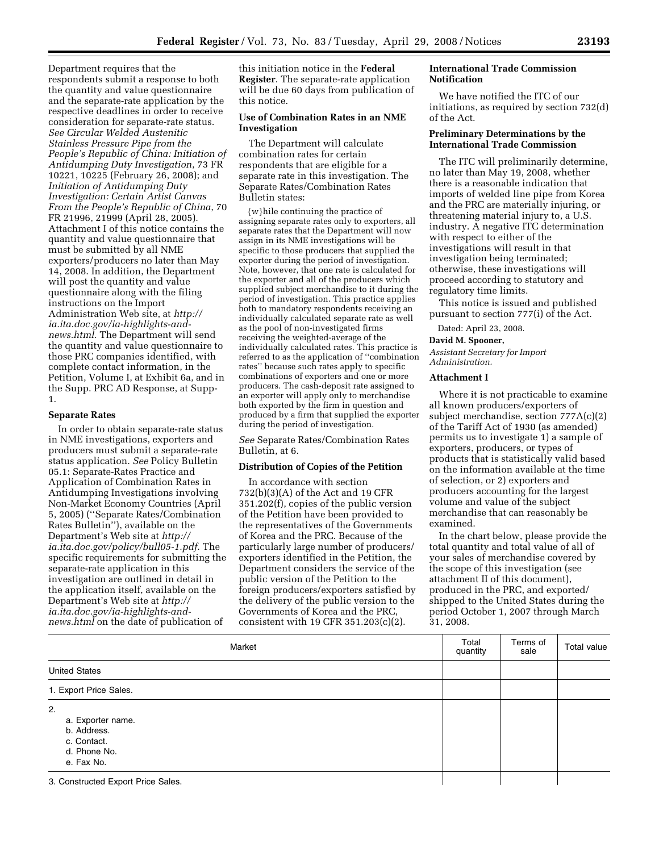Department requires that the respondents submit a response to both the quantity and value questionnaire and the separate-rate application by the respective deadlines in order to receive consideration for separate-rate status. *See Circular Welded Austenitic Stainless Pressure Pipe from the People's Republic of China: Initiation of Antidumping Duty Investigation*, 73 FR 10221, 10225 (February 26, 2008); and *Initiation of Antidumping Duty Investigation: Certain Artist Canvas From the People's Republic of China*, 70 FR 21996, 21999 (April 28, 2005). Attachment I of this notice contains the quantity and value questionnaire that must be submitted by all NME exporters/producers no later than May 14, 2008. In addition, the Department will post the quantity and value questionnaire along with the filing instructions on the Import Administration Web site, at *http:// ia.ita.doc.gov/ia-highlights-andnews.html*. The Department will send the quantity and value questionnaire to those PRC companies identified, with complete contact information, in the Petition, Volume I, at Exhibit 6a, and in the Supp. PRC AD Response, at Supp-1.

### **Separate Rates**

In order to obtain separate-rate status in NME investigations, exporters and producers must submit a separate-rate status application. *See* Policy Bulletin 05.1: Separate-Rates Practice and Application of Combination Rates in Antidumping Investigations involving Non-Market Economy Countries (April 5, 2005) (''Separate Rates/Combination Rates Bulletin''), available on the Department's Web site at *http:// ia.ita.doc.gov/policy/bull05-1.pdf*. The specific requirements for submitting the separate-rate application in this investigation are outlined in detail in the application itself, available on the Department's Web site at *http:// ia.ita.doc.gov/ia-highlights-andnews.html* on the date of publication of

this initiation notice in the **Federal Register**. The separate-rate application will be due 60 days from publication of this notice.

# **Use of Combination Rates in an NME Investigation**

The Department will calculate combination rates for certain respondents that are eligible for a separate rate in this investigation. The Separate Rates/Combination Rates Bulletin states:

{w}hile continuing the practice of assigning separate rates only to exporters, all separate rates that the Department will now assign in its NME investigations will be specific to those producers that supplied the exporter during the period of investigation. Note, however, that one rate is calculated for the exporter and all of the producers which supplied subject merchandise to it during the period of investigation. This practice applies both to mandatory respondents receiving an individually calculated separate rate as well as the pool of non-investigated firms receiving the weighted-average of the individually calculated rates. This practice is referred to as the application of ''combination rates'' because such rates apply to specific combinations of exporters and one or more producers. The cash-deposit rate assigned to an exporter will apply only to merchandise both exported by the firm in question and produced by a firm that supplied the exporter during the period of investigation.

*See* Separate Rates/Combination Rates Bulletin, at 6.

### **Distribution of Copies of the Petition**

In accordance with section 732(b)(3)(A) of the Act and 19 CFR 351.202(f), copies of the public version of the Petition have been provided to the representatives of the Governments of Korea and the PRC. Because of the particularly large number of producers/ exporters identified in the Petition, the Department considers the service of the public version of the Petition to the foreign producers/exporters satisfied by the delivery of the public version to the Governments of Korea and the PRC, consistent with 19 CFR 351.203(c)(2).

## **International Trade Commission Notification**

We have notified the ITC of our initiations, as required by section 732(d) of the Act.

## **Preliminary Determinations by the International Trade Commission**

The ITC will preliminarily determine, no later than May 19, 2008, whether there is a reasonable indication that imports of welded line pipe from Korea and the PRC are materially injuring, or threatening material injury to, a U.S. industry. A negative ITC determination with respect to either of the investigations will result in that investigation being terminated; otherwise, these investigations will proceed according to statutory and regulatory time limits.

This notice is issued and published pursuant to section 777(i) of the Act.

Dated: April 23, 2008.

### **David M. Spooner,**

*Assistant Secretary for Import Administration.* 

## **Attachment I**

Where it is not practicable to examine all known producers/exporters of subject merchandise, section 777A(c)(2) of the Tariff Act of 1930 (as amended) permits us to investigate 1) a sample of exporters, producers, or types of products that is statistically valid based on the information available at the time of selection, or 2) exporters and producers accounting for the largest volume and value of the subject merchandise that can reasonably be examined.

In the chart below, please provide the total quantity and total value of all of your sales of merchandise covered by the scope of this investigation (see attachment II of this document), produced in the PRC, and exported/ shipped to the United States during the period October 1, 2007 through March 31, 2008.

| Market                                                                              | Total<br>quantity | Terms of<br>sale | Total value |
|-------------------------------------------------------------------------------------|-------------------|------------------|-------------|
| <b>United States</b>                                                                |                   |                  |             |
| 1. Export Price Sales.                                                              |                   |                  |             |
| 2.<br>a. Exporter name.<br>b. Address.<br>c. Contact.<br>d. Phone No.<br>e. Fax No. |                   |                  |             |
| 3. Constructed Export Price Sales.                                                  |                   |                  |             |